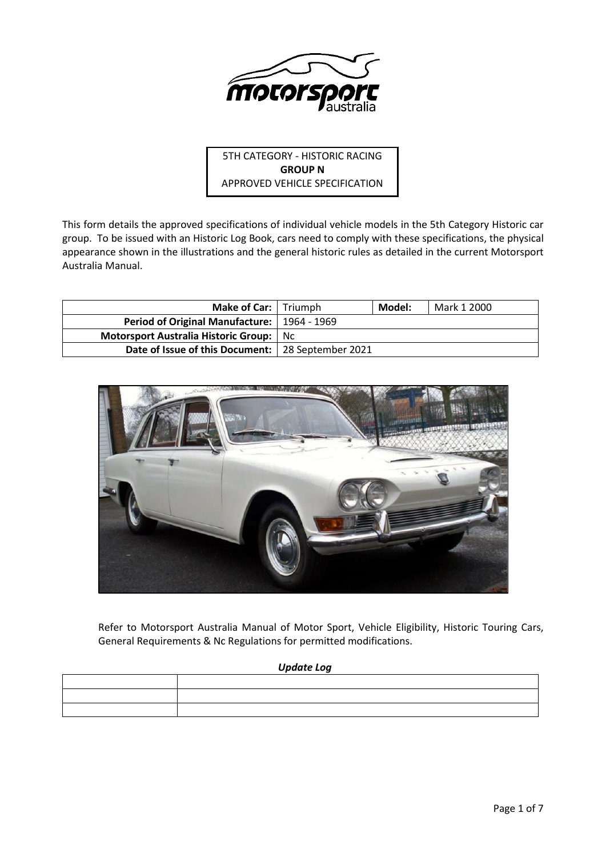

5TH CATEGORY - HISTORIC RACING **GROUP N** APPROVED VEHICLE SPECIFICATION

This form details the approved specifications of individual vehicle models in the 5th Category Historic car group. To be issued with an Historic Log Book, cars need to comply with these specifications, the physical appearance shown in the illustrations and the general historic rules as detailed in the current Motorsport Australia Manual.

| <b>Make of Car:</b>   Triumph                       |     | Model: | Mark 1 2000 |
|-----------------------------------------------------|-----|--------|-------------|
| Period of Original Manufacture:   1964 - 1969       |     |        |             |
| Motorsport Australia Historic Group:                | Nc. |        |             |
| Date of Issue of this Document:   28 September 2021 |     |        |             |



Refer to Motorsport Australia Manual of Motor Sport, Vehicle Eligibility, Historic Touring Cars, General Requirements & Nc Regulations for permitted modifications.

## *Update Log*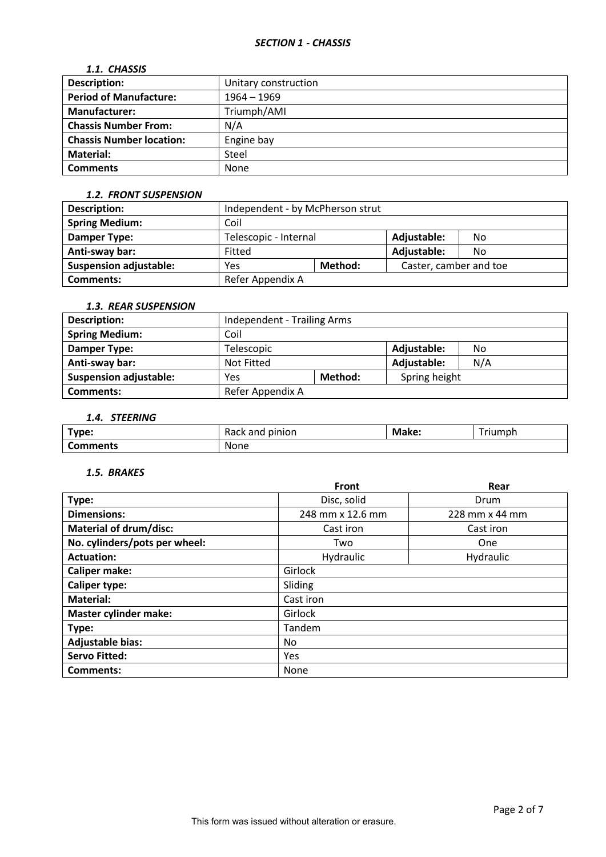## *1.1. CHASSIS*

| <b>Description:</b>             | Unitary construction |
|---------------------------------|----------------------|
| <b>Period of Manufacture:</b>   | $1964 - 1969$        |
| <b>Manufacturer:</b>            | Triumph/AMI          |
| <b>Chassis Number From:</b>     | N/A                  |
| <b>Chassis Number location:</b> | Engine bay           |
| Material:                       | Steel                |
| <b>Comments</b>                 | None                 |

### *1.2. FRONT SUSPENSION*

| <b>Description:</b>           | Independent - by McPherson strut |  |                        |     |
|-------------------------------|----------------------------------|--|------------------------|-----|
| <b>Spring Medium:</b>         | Coil                             |  |                        |     |
| <b>Damper Type:</b>           | Telescopic - Internal            |  | Adjustable:            | No. |
| Anti-sway bar:                | Fitted                           |  | Adjustable:            | No. |
| <b>Suspension adjustable:</b> | Method:<br>Yes                   |  | Caster, camber and toe |     |
| <b>Comments:</b>              | Refer Appendix A                 |  |                        |     |

# *1.3. REAR SUSPENSION*

| <b>Description:</b>           | Independent - Trailing Arms |  |               |     |
|-------------------------------|-----------------------------|--|---------------|-----|
| <b>Spring Medium:</b>         | Coil                        |  |               |     |
| Damper Type:                  | Telescopic                  |  | Adjustable:   | No  |
| Anti-sway bar:                | Not Fitted                  |  | Adjustable:   | N/A |
| <b>Suspension adjustable:</b> | Method:<br>Yes              |  | Spring height |     |
| <b>Comments:</b>              | Refer Appendix A            |  |               |     |

# *1.4. STEERING*

| $T$ vpe: | pinion<br><b>- -</b><br>dilü | Make: | --<br>riumph |
|----------|------------------------------|-------|--------------|
| Comments | None                         |       |              |

### *1.5. BRAKES*

|                               | <b>Front</b>     | Rear           |  |  |
|-------------------------------|------------------|----------------|--|--|
| Type:                         | Disc, solid      | Drum           |  |  |
| <b>Dimensions:</b>            | 248 mm x 12.6 mm | 228 mm x 44 mm |  |  |
| <b>Material of drum/disc:</b> | Cast iron        | Cast iron      |  |  |
| No. cylinders/pots per wheel: | Two              | One            |  |  |
| <b>Actuation:</b>             | Hydraulic        | Hydraulic      |  |  |
| <b>Caliper make:</b>          | Girlock          |                |  |  |
| <b>Caliper type:</b>          | Sliding          |                |  |  |
| <b>Material:</b>              | Cast iron        |                |  |  |
| <b>Master cylinder make:</b>  | Girlock          |                |  |  |
| Type:                         | Tandem           |                |  |  |
| <b>Adjustable bias:</b>       | No.              |                |  |  |
| <b>Servo Fitted:</b>          | Yes              |                |  |  |
| Comments:                     | None             |                |  |  |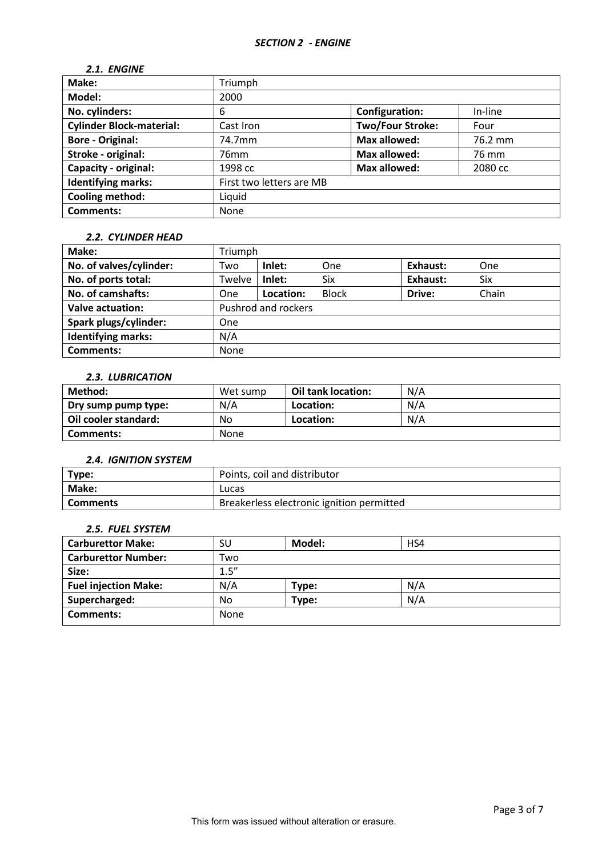# *2.1. ENGINE*

| Make:                           | Triumph                  |                         |         |
|---------------------------------|--------------------------|-------------------------|---------|
| Model:                          | 2000                     |                         |         |
| No. cylinders:                  | 6                        | <b>Configuration:</b>   | In-line |
| <b>Cylinder Block-material:</b> | Cast Iron                | <b>Two/Four Stroke:</b> | Four    |
| <b>Bore - Original:</b>         | 74.7mm                   | <b>Max allowed:</b>     | 76.2 mm |
| Stroke - original:              | 76 <sub>mm</sub>         | <b>Max allowed:</b>     | 76 mm   |
| Capacity - original:            | 1998 cc                  | <b>Max allowed:</b>     | 2080 cc |
| <b>Identifying marks:</b>       | First two letters are MB |                         |         |
| Cooling method:                 | Liquid                   |                         |         |
| <b>Comments:</b>                | None                     |                         |         |

### *2.2. CYLINDER HEAD*

| Make:                     | Triumph    |                     |              |          |       |
|---------------------------|------------|---------------------|--------------|----------|-------|
| No. of valves/cylinder:   | Two        | Inlet:              | One          | Exhaust: | One   |
| No. of ports total:       | Twelve     | Inlet:              | <b>Six</b>   | Exhaust: | Six   |
| No. of camshafts:         | One        | Location:           | <b>Block</b> | Drive:   | Chain |
| <b>Valve actuation:</b>   |            | Pushrod and rockers |              |          |       |
| Spark plugs/cylinder:     | <b>One</b> |                     |              |          |       |
| <b>Identifying marks:</b> | N/A        |                     |              |          |       |
| <b>Comments:</b>          | None       |                     |              |          |       |

# *2.3. LUBRICATION*

| Method:              | Wet sump | Oil tank location: | N/A |
|----------------------|----------|--------------------|-----|
| Dry sump pump type:  | N/A      | Location:          | N/A |
| Oil cooler standard: | No       | Location:          | N/A |
| Comments:            | None     |                    |     |

#### *2.4. IGNITION SYSTEM*

| Type:    | Points, coil and distributor              |
|----------|-------------------------------------------|
| Make:    | Lucas                                     |
| Comments | Breakerless electronic ignition permitted |

## *2.5. FUEL SYSTEM*

| <b>Carburettor Make:</b>    | SU    | Model: | HS4 |  |
|-----------------------------|-------|--------|-----|--|
| <b>Carburettor Number:</b>  | Two   |        |     |  |
| Size:                       | 1.5'' |        |     |  |
| <b>Fuel injection Make:</b> | N/A   | Type:  | N/A |  |
| Supercharged:               | No    | Type:  | N/A |  |
| Comments:                   | None  |        |     |  |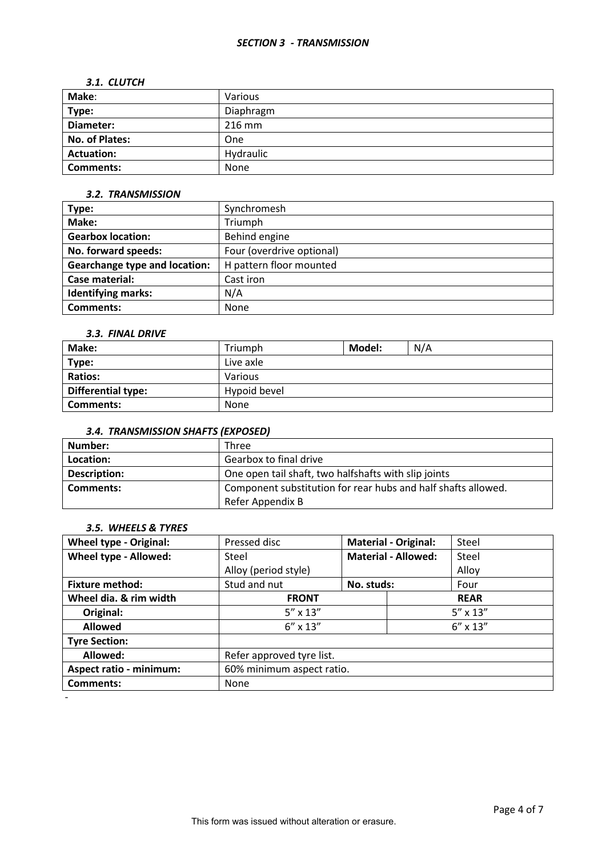### *SECTION 3 - TRANSMISSION*

### *3.1. CLUTCH*

| Make:             | Various   |
|-------------------|-----------|
| Type:             | Diaphragm |
| Diameter:         | 216 mm    |
| No. of Plates:    | One       |
| <b>Actuation:</b> | Hydraulic |
| <b>Comments:</b>  | None      |

### *3.2. TRANSMISSION*

| Type:                                | Synchromesh               |
|--------------------------------------|---------------------------|
| Make:                                | Triumph                   |
| <b>Gearbox location:</b>             | Behind engine             |
| No. forward speeds:                  | Four (overdrive optional) |
| <b>Gearchange type and location:</b> | H pattern floor mounted   |
| Case material:                       | Cast iron                 |
| <b>Identifying marks:</b>            | N/A                       |
| Comments:                            | <b>None</b>               |

## *3.3. FINAL DRIVE*

| Make:              | Triumph      | Model: | N/A |
|--------------------|--------------|--------|-----|
| Type:              | Live axle    |        |     |
| <b>Ratios:</b>     | Various      |        |     |
| Differential type: | Hypoid bevel |        |     |
| Comments:          | <b>None</b>  |        |     |

# *3.4. TRANSMISSION SHAFTS (EXPOSED)*

| Number:      | Three                                                         |
|--------------|---------------------------------------------------------------|
| Location:    | Gearbox to final drive                                        |
| Description: | One open tail shaft, two halfshafts with slip joints          |
| Comments:    | Component substitution for rear hubs and half shafts allowed. |
|              | Refer Appendix B                                              |

## *3.5. WHEELS & TYRES*

| <b>Wheel type - Original:</b>  | Pressed disc              |            | <b>Material - Original:</b> | Steel             |  |
|--------------------------------|---------------------------|------------|-----------------------------|-------------------|--|
| Wheel type - Allowed:          | Steel                     |            | <b>Material - Allowed:</b>  | Steel             |  |
|                                | Alloy (period style)      |            |                             | Alloy             |  |
| <b>Fixture method:</b>         | Stud and nut              | No. studs: |                             | Four              |  |
| Wheel dia. & rim width         | <b>FRONT</b>              |            |                             | <b>REAR</b>       |  |
| Original:                      | $5'' \times 13''$         |            |                             | $5'' \times 13''$ |  |
| <b>Allowed</b>                 | $6'' \times 13''$         |            |                             | $6'' \times 13''$ |  |
| <b>Tyre Section:</b>           |                           |            |                             |                   |  |
| Allowed:                       | Refer approved tyre list. |            |                             |                   |  |
| <b>Aspect ratio - minimum:</b> | 60% minimum aspect ratio. |            |                             |                   |  |
| <b>Comments:</b>               | None                      |            |                             |                   |  |
|                                |                           |            |                             |                   |  |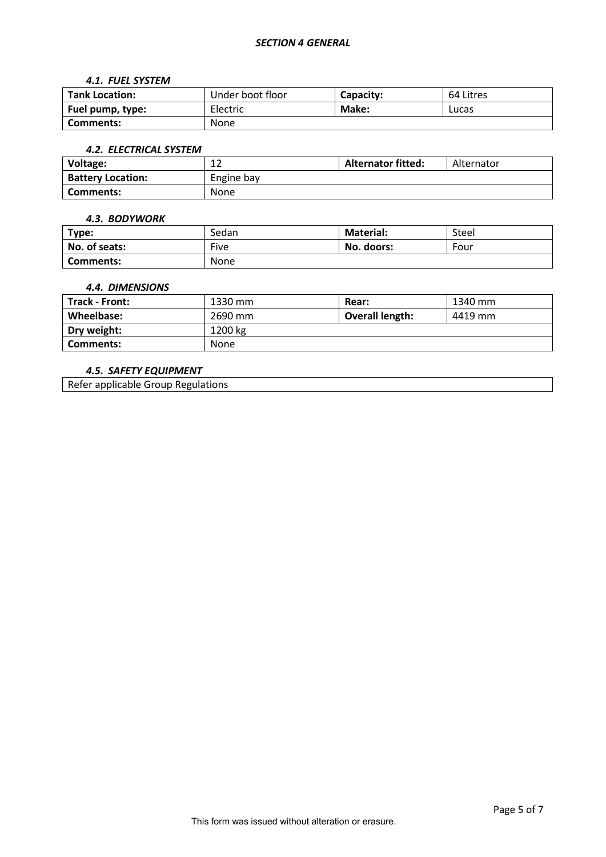#### *4.1. FUEL SYSTEM*

| <b>Tank Location:</b> | Under boot floor | Capacity: | 64 Litres |
|-----------------------|------------------|-----------|-----------|
| Fuel pump, type:      | Electric         | Make:     | Lucas     |
| Comments:             | <b>None</b>      |           |           |

#### *4.2. ELECTRICAL SYSTEM*

| Voltage:                 | $\sim$<br>∸ | <b>Alternator fitted:</b> | Alternator |
|--------------------------|-------------|---------------------------|------------|
| <b>Battery Location:</b> | Engine bay  |                           |            |
| Comments:                | None        |                           |            |

#### *4.3. BODYWORK*

| Type:            | Sedan       | <b>Material:</b> | Steel |
|------------------|-------------|------------------|-------|
| No. of seats:    | Five        | No. doors:       | Four  |
| <b>Comments:</b> | <b>None</b> |                  |       |

### *4.4. DIMENSIONS*

| <b>Track - Front:</b> | 1330 mm | <b>Rear:</b>           | 1340 mm |
|-----------------------|---------|------------------------|---------|
| Wheelbase:            | 2690 mm | <b>Overall length:</b> | 4419 mm |
| Dry weight:           | 1200 kg |                        |         |
| Comments:             | None    |                        |         |

## *4.5. SAFETY EQUIPMENT*

Refer applicable Group Regulations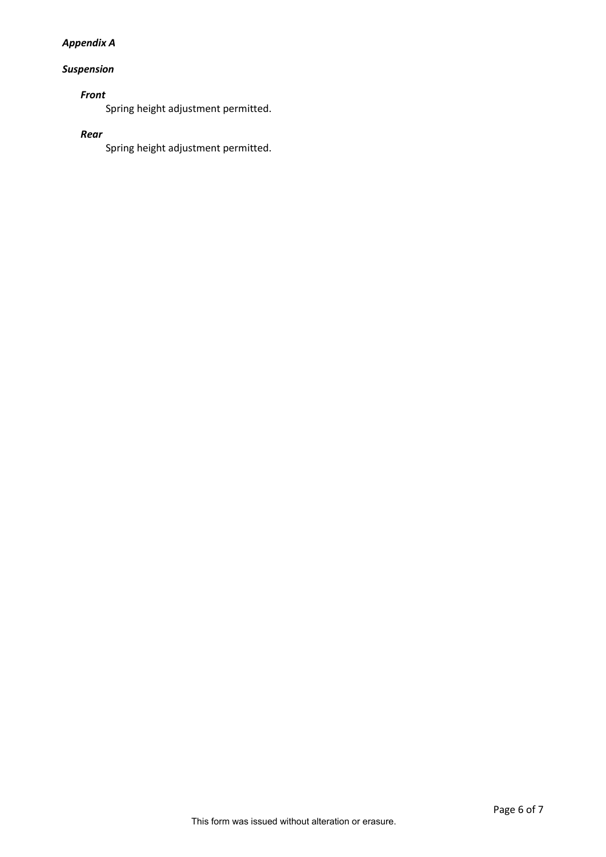# *Appendix A*

# *Suspension*

# *Front*

Spring height adjustment permitted.

## *Rear*

Spring height adjustment permitted.